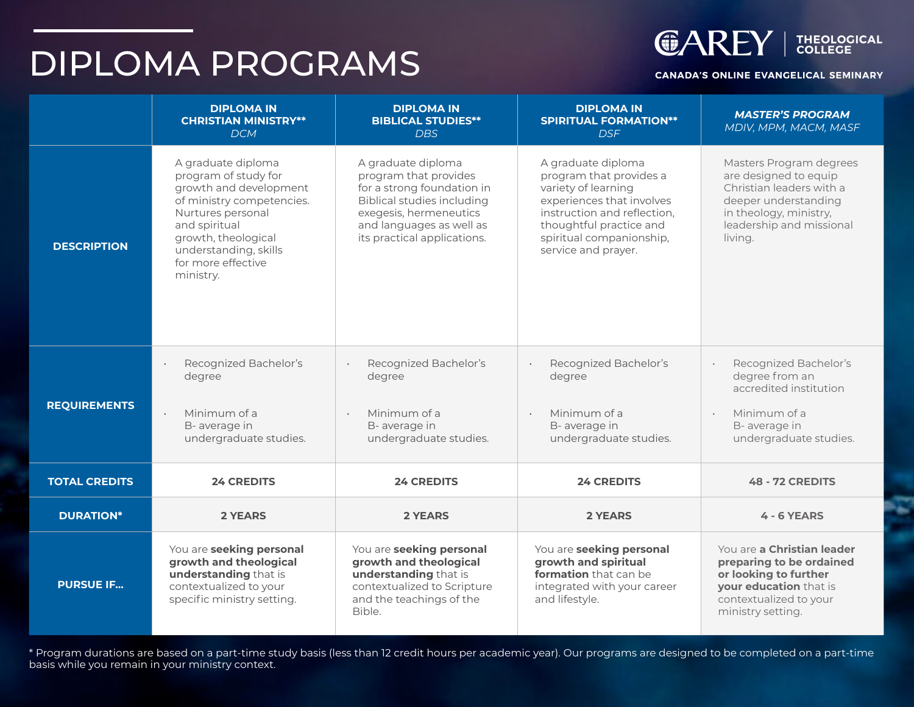# DIPLOMA PROGRAMS



#### **CANADA'S ONLINE EVANGELICAL SEMINARY**

|                      | <b>DIPLOMA IN</b><br><b>CHRISTIAN MINISTRY**</b><br><b>DCM</b>                                                                                                                                                             | <b>DIPLOMA IN</b><br><b>BIBLICAL STUDIES**</b><br><b>DBS</b>                                                                                                                                        | <b>DIPLOMA IN</b><br><b>SPIRITUAL FORMATION**</b><br><b>DSF</b>                                                                                                                                                | <b>MASTER'S PROGRAM</b><br>MDIV, MPM, MACM, MASF                                                                                                                      |
|----------------------|----------------------------------------------------------------------------------------------------------------------------------------------------------------------------------------------------------------------------|-----------------------------------------------------------------------------------------------------------------------------------------------------------------------------------------------------|----------------------------------------------------------------------------------------------------------------------------------------------------------------------------------------------------------------|-----------------------------------------------------------------------------------------------------------------------------------------------------------------------|
| <b>DESCRIPTION</b>   | A graduate diploma<br>program of study for<br>growth and development<br>of ministry competencies.<br>Nurtures personal<br>and spiritual<br>growth, theological<br>understanding, skills<br>for more effective<br>ministry. | A graduate diploma<br>program that provides<br>for a strong foundation in<br><b>Biblical studies including</b><br>exegesis, hermeneutics<br>and languages as well as<br>its practical applications. | A graduate diploma<br>program that provides a<br>variety of learning<br>experiences that involves<br>instruction and reflection,<br>thoughtful practice and<br>spiritual companionship,<br>service and prayer. | Masters Program degrees<br>are designed to equip<br>Christian leaders with a<br>deeper understanding<br>in theology, ministry,<br>leadership and missional<br>living. |
| <b>REQUIREMENTS</b>  | Recognized Bachelor's<br>degree<br>Minimum of a<br>B- average in<br>undergraduate studies.                                                                                                                                 | Recognized Bachelor's<br>degree<br>Minimum of a<br>$\bullet$<br>B- average in<br>undergraduate studies.                                                                                             | Recognized Bachelor's<br>degree<br>Minimum of a<br>$\bullet$<br>B- average in<br>undergraduate studies.                                                                                                        | Recognized Bachelor's<br>$\epsilon$<br>degree from an<br>accredited institution<br>Minimum of a<br>$\epsilon$<br>B- average in<br>undergraduate studies.              |
| <b>TOTAL CREDITS</b> | <b>24 CREDITS</b>                                                                                                                                                                                                          | <b>24 CREDITS</b>                                                                                                                                                                                   | <b>24 CREDITS</b>                                                                                                                                                                                              | <b>48 - 72 CREDITS</b>                                                                                                                                                |
| <b>DURATION*</b>     | 2 YEARS                                                                                                                                                                                                                    | 2 YEARS                                                                                                                                                                                             | 2 YEARS                                                                                                                                                                                                        | 4 - 6 YEARS                                                                                                                                                           |
| <b>PURSUE IF</b>     | You are seeking personal<br>growth and theological<br>understanding that is<br>contextualized to your<br>specific ministry setting.                                                                                        | You are seeking personal<br>growth and theological<br>understanding that is<br>contextualized to Scripture<br>and the teachings of the<br>Bible.                                                    | You are seeking personal<br>growth and spiritual<br>formation that can be<br>integrated with your career<br>and lifestyle.                                                                                     | You are a Christian leader<br>preparing to be ordained<br>or looking to further<br>your education that is<br>contextualized to your<br>ministry setting.              |

\* Program durations are based on a part-time study basis (less than 12 credit hours per academic year). Our programs are designed to be completed on a part-time basis while you remain in your ministry context.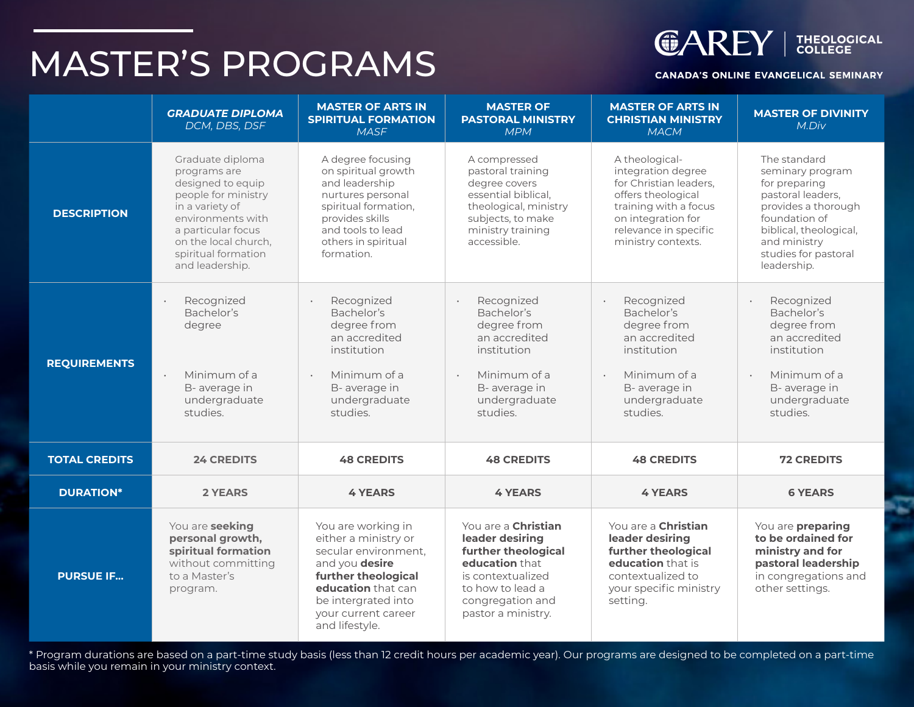# MASTER'S PROGRAMS



#### **CANADA'S ONLINE EVANGELICAL SEMINARY**

|                      | <b>GRADUATE DIPLOMA</b><br>DCM, DBS, DSF                                                                                                                                                                     | <b>MASTER OF ARTS IN</b><br><b>SPIRITUAL FORMATION</b><br><b>MASF</b>                                                                                                                             | <b>MASTER OF</b><br><b>PASTORAL MINISTRY</b><br><b>MPM</b>                                                                                                                | <b>MASTER OF ARTS IN</b><br><b>CHRISTIAN MINISTRY</b><br><b>MACM</b>                                                                                                                  | <b>MASTER OF DIVINITY</b><br>M.Div                                                                                                                                                              |
|----------------------|--------------------------------------------------------------------------------------------------------------------------------------------------------------------------------------------------------------|---------------------------------------------------------------------------------------------------------------------------------------------------------------------------------------------------|---------------------------------------------------------------------------------------------------------------------------------------------------------------------------|---------------------------------------------------------------------------------------------------------------------------------------------------------------------------------------|-------------------------------------------------------------------------------------------------------------------------------------------------------------------------------------------------|
| <b>DESCRIPTION</b>   | Graduate diploma<br>programs are<br>designed to equip<br>people for ministry<br>in a variety of<br>environments with<br>a particular focus<br>on the local church,<br>spiritual formation<br>and leadership. | A degree focusing<br>on spiritual growth<br>and leadership<br>nurtures personal<br>spiritual formation,<br>provides skills<br>and tools to lead<br>others in spiritual<br>formation.              | A compressed<br>pastoral training<br>degree covers<br>essential biblical,<br>theological, ministry<br>subjects, to make<br>ministry training<br>accessible.               | A theological-<br>integration degree<br>for Christian leaders,<br>offers theological<br>training with a focus<br>on integration for<br>relevance in specific<br>ministry contexts.    | The standard<br>seminary program<br>for preparing<br>pastoral leaders,<br>provides a thorough<br>foundation of<br>biblical, theological,<br>and ministry<br>studies for pastoral<br>leadership. |
| <b>REQUIREMENTS</b>  | Recognized<br>Bachelor's<br>degree<br>Minimum of a<br>B- average in<br>undergraduate<br>studies.                                                                                                             | Recognized<br>Bachelor's<br>degree from<br>an accredited<br>institution<br>Minimum of a<br>$\ddot{\phantom{a}}$<br>B- average in<br>undergraduate<br>studies.                                     | Recognized<br>Bachelor's<br>degree from<br>an accredited<br>institution<br>Minimum of a<br>B- average in<br>undergraduate<br>studies.                                     | Recognized<br>$\ddot{\phantom{a}}$<br>Bachelor's<br>degree from<br>an accredited<br>institution<br>Minimum of a<br>$\ddot{\phantom{a}}$<br>B- average in<br>undergraduate<br>studies. | Recognized<br>Bachelor's<br>degree from<br>an accredited<br>institution<br>Minimum of a<br>$\ddot{\phantom{0}}$<br>B- average in<br>undergraduate<br>studies.                                   |
| <b>TOTAL CREDITS</b> | <b>24 CREDITS</b>                                                                                                                                                                                            | <b>48 CREDITS</b>                                                                                                                                                                                 | <b>48 CREDITS</b>                                                                                                                                                         | <b>48 CREDITS</b>                                                                                                                                                                     | <b>72 CREDITS</b>                                                                                                                                                                               |
| <b>DURATION*</b>     | <b>2 YEARS</b>                                                                                                                                                                                               | <b>4 YEARS</b>                                                                                                                                                                                    | <b>4 YEARS</b>                                                                                                                                                            | <b>4 YEARS</b>                                                                                                                                                                        | <b>6 YEARS</b>                                                                                                                                                                                  |
| <b>PURSUE IF</b>     | You are seeking<br>personal growth,<br>spiritual formation<br>without committing<br>to a Master's<br>program.                                                                                                | You are working in<br>either a ministry or<br>secular environment.<br>and you desire<br>further theological<br>education that can<br>be intergrated into<br>your current career<br>and lifestyle. | You are a <b>Christian</b><br>leader desiring<br>further theological<br>education that<br>is contextualized<br>to how to lead a<br>congregation and<br>pastor a ministry. | You are a <b>Christian</b><br>leader desiring<br>further theological<br>education that is<br>contextualized to<br>your specific ministry<br>setting.                                  | You are <b>preparing</b><br>to be ordained for<br>ministry and for<br>pastoral leadership<br>in congregations and<br>other settings.                                                            |

\* Program durations are based on a part-time study basis (less than 12 credit hours per academic year). Our programs are designed to be completed on a part-time basis while you remain in your ministry context.